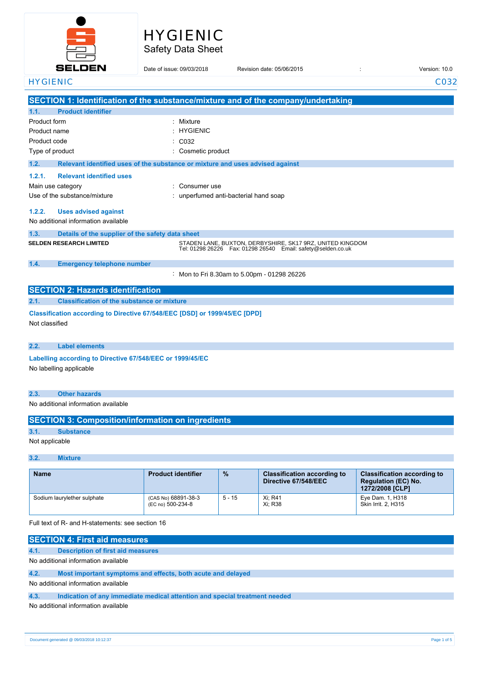

# Safety Data Sheet HYGIENIC

|                 | <b>SELDEN</b>                                                              | Date of issue: 09/03/2018                                                     | Revision date: 05/06/2015                                                                                                   | Version: 10.0 |
|-----------------|----------------------------------------------------------------------------|-------------------------------------------------------------------------------|-----------------------------------------------------------------------------------------------------------------------------|---------------|
| <b>HYGIENIC</b> |                                                                            |                                                                               |                                                                                                                             | C032          |
|                 |                                                                            |                                                                               | SECTION 1: Identification of the substance/mixture and of the company/undertaking                                           |               |
| 1.1.            | <b>Product identifier</b>                                                  |                                                                               |                                                                                                                             |               |
| Product form    |                                                                            | : Mixture                                                                     |                                                                                                                             |               |
| Product name    |                                                                            | : HYGIENIC                                                                    |                                                                                                                             |               |
| Product code    |                                                                            | C032                                                                          |                                                                                                                             |               |
|                 | Type of product                                                            | Cosmetic product                                                              |                                                                                                                             |               |
| 1.2.            |                                                                            | Relevant identified uses of the substance or mixture and uses advised against |                                                                                                                             |               |
| 1.2.1.          | <b>Relevant identified uses</b>                                            |                                                                               |                                                                                                                             |               |
|                 | Main use category                                                          | Consumer use                                                                  |                                                                                                                             |               |
|                 | Use of the substance/mixture                                               |                                                                               | : unperfumed anti-bacterial hand soap                                                                                       |               |
| 1.2.2.          | <b>Uses advised against</b>                                                |                                                                               |                                                                                                                             |               |
|                 | No additional information available                                        |                                                                               |                                                                                                                             |               |
| 1.3.            | Details of the supplier of the safety data sheet                           |                                                                               |                                                                                                                             |               |
|                 | <b>SELDEN RESEARCH LIMITED</b>                                             |                                                                               | STADEN LANE, BUXTON, DERBYSHIRE, SK17 9RZ, UNITED KINGDOM<br>Tel: 01298 26226  Fax: 01298 26540  Email: safety@selden.co.uk |               |
| 1.4.            | <b>Emergency telephone number</b>                                          |                                                                               |                                                                                                                             |               |
|                 |                                                                            |                                                                               | : Mon to Fri 8.30am to 5.00pm - 01298 26226                                                                                 |               |
|                 | <b>SECTION 2: Hazards identification</b>                                   |                                                                               |                                                                                                                             |               |
| 2.1.            | <b>Classification of the substance or mixture</b>                          |                                                                               |                                                                                                                             |               |
|                 | Classification according to Directive 67/548/EEC [DSD] or 1999/45/EC [DPD] |                                                                               |                                                                                                                             |               |
| Not classified  |                                                                            |                                                                               |                                                                                                                             |               |
| 2.2.            | <b>Label elements</b>                                                      |                                                                               |                                                                                                                             |               |
|                 | Labelling according to Directive 67/548/EEC or 1999/45/EC                  |                                                                               |                                                                                                                             |               |
|                 | No labelling applicable                                                    |                                                                               |                                                                                                                             |               |
| 2.3.            | <b>Other hazards</b>                                                       |                                                                               |                                                                                                                             |               |
|                 | No additional information available                                        |                                                                               |                                                                                                                             |               |
|                 | <b>SECTION 3: Composition/information on ingredients</b>                   |                                                                               |                                                                                                                             |               |
| 3.1.            | <b>Substance</b>                                                           |                                                                               |                                                                                                                             |               |
| Not applicable  |                                                                            |                                                                               |                                                                                                                             |               |

### **3.2. Mixture**

| <b>Name</b>                 | <b>Product identifier</b>                | $\frac{9}{6}$ | <b>Classification according to</b><br>Directive 67/548/EEC | <b>Classification according to</b><br><b>Regulation (EC) No.</b><br>1272/2008 [CLP] |
|-----------------------------|------------------------------------------|---------------|------------------------------------------------------------|-------------------------------------------------------------------------------------|
| Sodium laurylether sulphate | (CAS No) 68891-38-3<br>(EC no) 500-234-8 | $5 - 15$      | Xi; R41<br>Xi: R38                                         | Eye Dam. 1, H318<br>Skin Irrit. 2. H315                                             |

Full text of R- and H-statements: see section 16

|      | <b>SECTION 4: First aid measures</b>                                       |
|------|----------------------------------------------------------------------------|
| 4.1. | <b>Description of first aid measures</b>                                   |
|      | No additional information available                                        |
| 4.2. | Most important symptoms and effects, both acute and delayed                |
|      | No additional information available                                        |
| 4.3. | Indication of any immediate medical attention and special treatment needed |
|      | No additional information available                                        |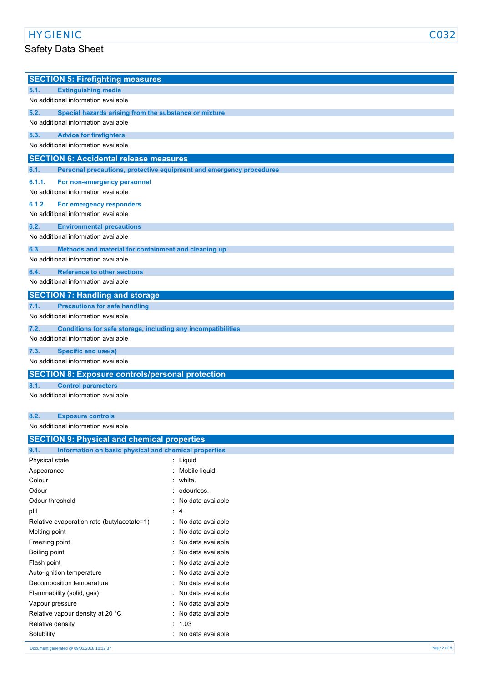## HYGIENIC C032

## Safety Data Sheet

|        | <b>SECTION 5: Firefighting measures</b>                             |
|--------|---------------------------------------------------------------------|
| 5.1.   | <b>Extinguishing media</b>                                          |
|        | No additional information available                                 |
| 5.2.   | Special hazards arising from the substance or mixture               |
|        | No additional information available                                 |
| 5.3.   | <b>Advice for firefighters</b>                                      |
|        | No additional information available                                 |
|        | <b>SECTION 6: Accidental release measures</b>                       |
| 6.1.   | Personal precautions, protective equipment and emergency procedures |
| 6.1.1. | For non-emergency personnel                                         |
|        | No additional information available                                 |
| 6.1.2. | For emergency responders                                            |
|        | No additional information available                                 |
| 6.2.   | <b>Environmental precautions</b>                                    |
|        | No additional information available                                 |
| 6.3.   | Methods and material for containment and cleaning up                |
|        | No additional information available                                 |
| 6.4.   | <b>Reference to other sections</b>                                  |
|        | No additional information available                                 |
|        | <b>SECTION 7: Handling and storage</b>                              |
| 7.1.   | <b>Precautions for safe handling</b>                                |
|        | No additional information available                                 |
| 7.2.   | Conditions for safe storage, including any incompatibilities        |
|        | No additional information available                                 |
| 7.3.   | <b>Specific end use(s)</b>                                          |
|        | No additional information available                                 |
|        | <b>SECTION 8: Exposure controls/personal protection</b>             |
| 8.1.   | <b>Control parameters</b>                                           |
|        | No additional information available                                 |
| 8.2.   | <b>Exposure controls</b>                                            |
|        | المائدييم المستلف ووسد وكمث المستمثلة المامس                        |

No additional information available

| <b>SECTION 9: Physical and chemical properties</b>            |                     |
|---------------------------------------------------------------|---------------------|
| 9.1.<br>Information on basic physical and chemical properties |                     |
| Physical state                                                | : Liquid            |
| Appearance                                                    | : Mobile liquid.    |
| Colour                                                        | : white.            |
| Odour                                                         | : odourless.        |
| Odour threshold                                               | : No data available |
| рH                                                            | $\therefore$ 4      |
| Relative evaporation rate (butylacetate=1)                    | : No data available |
| Melting point                                                 | : No data available |
| Freezing point                                                | : No data available |
| Boiling point                                                 | : No data available |
| Flash point                                                   | : No data available |
| Auto-ignition temperature                                     | : No data available |
| Decomposition temperature                                     | : No data available |
| Flammability (solid, gas)                                     | : No data available |
| Vapour pressure                                               | : No data available |
| Relative vapour density at 20 °C                              | : No data available |
| Relative density                                              | : 1.03              |
| Solubility                                                    | : No data available |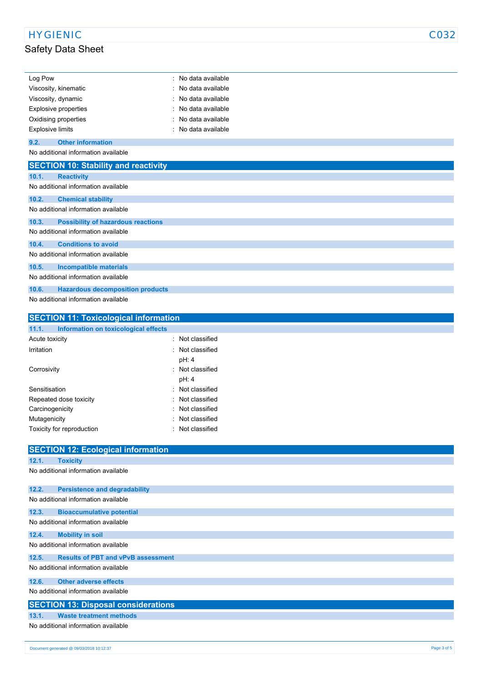# HYGIENIC CO32

# Safety Data Sheet

| Log Pow                                            | : No data available |
|----------------------------------------------------|---------------------|
| Viscosity, kinematic                               | No data available   |
| Viscosity, dynamic                                 | No data available   |
| Explosive properties                               | No data available   |
| Oxidising properties                               | : No data available |
| <b>Explosive limits</b>                            | : No data available |
| 9.2.<br><b>Other information</b>                   |                     |
| No additional information available                |                     |
| <b>SECTION 10: Stability and reactivity</b>        |                     |
| 10.1.<br><b>Reactivity</b>                         |                     |
| No additional information available                |                     |
| 10.2.<br><b>Chemical stability</b>                 |                     |
| No additional information available                |                     |
| <b>Possibility of hazardous reactions</b><br>10.3. |                     |
| No additional information available                |                     |
| <b>Conditions to avoid</b><br>10.4.                |                     |
| No additional information available                |                     |
| 10.5.<br><b>Incompatible materials</b>             |                     |
| No additional information available                |                     |
| 10.6.<br><b>Hazardous decomposition products</b>   |                     |
| No additional information available                |                     |

| <b>SECTION 11: Toxicological information</b>  |                  |
|-----------------------------------------------|------------------|
| 11.1.<br>Information on toxicological effects |                  |
| Acute toxicity                                | Not classified   |
| Irritation                                    | : Not classified |
|                                               | pH: 4            |
| Corrosivity                                   | · Not classified |
|                                               | pH: 4            |
| Sensitisation                                 | : Not classified |
| Repeated dose toxicity                        | Not classified   |
| Carcinogenicity                               | Not classified   |
| Mutagenicity                                  | Not classified   |
| Toxicity for reproduction                     | : Not classified |

|       | <b>SECTION 12: Ecological information</b>  |
|-------|--------------------------------------------|
| 12.1. | <b>Toxicity</b>                            |
|       | No additional information available        |
| 12.2. | <b>Persistence and degradability</b>       |
|       | No additional information available        |
| 12.3. | <b>Bioaccumulative potential</b>           |
|       | No additional information available        |
| 12.4. | <b>Mobility in soil</b>                    |
|       | No additional information available        |
| 12.5. | <b>Results of PBT and vPvB assessment</b>  |
|       | No additional information available        |
| 12.6. | <b>Other adverse effects</b>               |
|       | No additional information available        |
|       | <b>SECTION 13: Disposal considerations</b> |
| 13.1. | <b>Waste treatment methods</b>             |
|       | No additional information available        |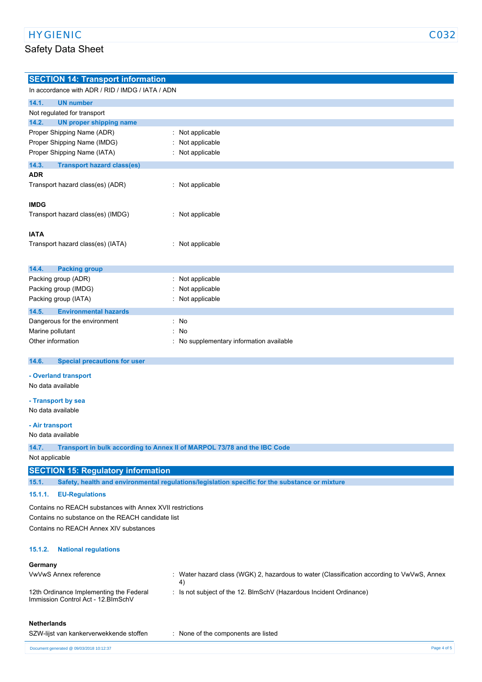## Safety Data Sheet

| ۰. | ۰. |  |
|----|----|--|

| <b>SECTION 14: Transport information</b>                  |                                                                                                |
|-----------------------------------------------------------|------------------------------------------------------------------------------------------------|
| In accordance with ADR / RID / IMDG / IATA / ADN          |                                                                                                |
| 14.1.<br><b>UN number</b>                                 |                                                                                                |
| Not regulated for transport                               |                                                                                                |
| 14.2.<br><b>UN proper shipping name</b>                   |                                                                                                |
| Proper Shipping Name (ADR)                                | Not applicable                                                                                 |
| Proper Shipping Name (IMDG)                               | Not applicable                                                                                 |
| Proper Shipping Name (IATA)                               | Not applicable                                                                                 |
| 14.3.<br><b>Transport hazard class(es)</b>                |                                                                                                |
| <b>ADR</b>                                                |                                                                                                |
| Transport hazard class(es) (ADR)                          | : Not applicable                                                                               |
|                                                           |                                                                                                |
| <b>IMDG</b>                                               |                                                                                                |
| Transport hazard class(es) (IMDG)                         | : Not applicable                                                                               |
| <b>IATA</b>                                               |                                                                                                |
| Transport hazard class(es) (IATA)                         | : Not applicable                                                                               |
|                                                           |                                                                                                |
|                                                           |                                                                                                |
| 14.4.<br><b>Packing group</b>                             |                                                                                                |
| Packing group (ADR)                                       | Not applicable                                                                                 |
| Packing group (IMDG)                                      | Not applicable                                                                                 |
| Packing group (IATA)                                      | Not applicable                                                                                 |
| 14.5.<br><b>Environmental hazards</b>                     |                                                                                                |
| Dangerous for the environment                             | : No                                                                                           |
| Marine pollutant                                          | No                                                                                             |
| Other information                                         | : No supplementary information available                                                       |
| 14.6.<br><b>Special precautions for user</b>              |                                                                                                |
|                                                           |                                                                                                |
| - Overland transport<br>No data available                 |                                                                                                |
|                                                           |                                                                                                |
| - Transport by sea                                        |                                                                                                |
| No data available                                         |                                                                                                |
| - Air transport                                           |                                                                                                |
| No data available                                         |                                                                                                |
| 14.7.                                                     | Transport in bulk according to Annex II of MARPOL 73/78 and the IBC Code                       |
| Not applicable                                            |                                                                                                |
|                                                           |                                                                                                |
| <b>SECTION 15: Regulatory information</b>                 |                                                                                                |
| 15.1.                                                     | Safety, health and environmental regulations/legislation specific for the substance or mixture |
| <b>EU-Regulations</b><br>15.1.1.                          |                                                                                                |
| Contains no REACH substances with Annex XVII restrictions |                                                                                                |
| Contains no substance on the REACH candidate list         |                                                                                                |
| Contains no REACH Annex XIV substances                    |                                                                                                |
|                                                           |                                                                                                |
| <b>National regulations</b><br>15.1.2.                    |                                                                                                |
|                                                           |                                                                                                |
| Germany                                                   |                                                                                                |
| VwVwS Annex reference                                     | Water hazard class (WGK) 2, hazardous to water (Classification according to VwVwS, Annex<br>4) |
| 12th Ordinance Implementing the Federal                   | : Is not subject of the 12. BlmSchV (Hazardous Incident Ordinance)                             |
| Immission Control Act - 12. BlmSchV                       |                                                                                                |
|                                                           |                                                                                                |

#### **Netherlands**

| SZW-lijst van kankerverwekkende stoffen | None of the components are listed |  |
|-----------------------------------------|-----------------------------------|--|
|-----------------------------------------|-----------------------------------|--|